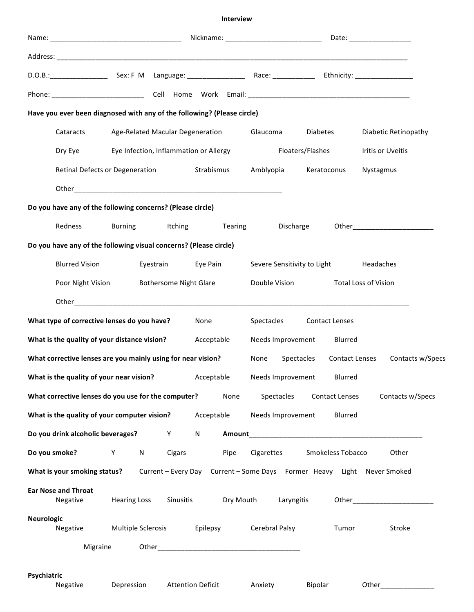## **Interview**

|                                                            | D.O.B.: ___________________________ Sex: F M Language: _________________________ Race: ___________________ Ethnicity: _________________                                                                                             |                                           |   |                          |                   |                                                         |            |                       |                             |                                    |  |
|------------------------------------------------------------|-------------------------------------------------------------------------------------------------------------------------------------------------------------------------------------------------------------------------------------|-------------------------------------------|---|--------------------------|-------------------|---------------------------------------------------------|------------|-----------------------|-----------------------------|------------------------------------|--|
|                                                            |                                                                                                                                                                                                                                     |                                           |   |                          |                   |                                                         |            |                       |                             |                                    |  |
|                                                            | Have you ever been diagnosed with any of the following? (Please circle)                                                                                                                                                             |                                           |   |                          |                   |                                                         |            |                       |                             |                                    |  |
|                                                            | Cataracts                                                                                                                                                                                                                           | Age-Related Macular Degeneration Glaucoma |   |                          |                   | Eye Infection, Inflammation or Allergy Floaters/Flashes |            | Diabetes              |                             | Diabetic Retinopathy               |  |
|                                                            | Dry Eye                                                                                                                                                                                                                             |                                           |   |                          | Iritis or Uveitis |                                                         |            |                       |                             |                                    |  |
|                                                            | Retinal Defects or Degeneration Strabismus                                                                                                                                                                                          |                                           |   |                          |                   | Amblyopia<br>Keratoconus                                |            |                       | Nystagmus                   |                                    |  |
|                                                            |                                                                                                                                                                                                                                     |                                           |   |                          |                   |                                                         |            |                       |                             |                                    |  |
|                                                            | Do you have any of the following concerns? (Please circle)                                                                                                                                                                          |                                           |   |                          |                   |                                                         |            |                       |                             |                                    |  |
|                                                            | Redness                                                                                                                                                                                                                             |                                           |   | Burning Itching          |                   | Tearing Discharge                                       |            |                       |                             | Other_____________________________ |  |
|                                                            | Do you have any of the following visual concerns? (Please circle)                                                                                                                                                                   |                                           |   |                          |                   |                                                         |            |                       |                             |                                    |  |
|                                                            | <b>Blurred Vision</b><br>Eyestrain Eye Pain                                                                                                                                                                                         |                                           |   |                          |                   | Severe Sensitivity to Light Headaches                   |            |                       |                             |                                    |  |
|                                                            | Poor Night Vision<br><b>Bothersome Night Glare</b>                                                                                                                                                                                  |                                           |   |                          |                   | Double Vision                                           |            |                       | <b>Total Loss of Vision</b> |                                    |  |
|                                                            | Other <b>contracts</b> the contract of the contract of the contract of the contract of the contract of the contract of the contract of the contract of the contract of the contract of the contract of the contract of the contract |                                           |   |                          |                   |                                                         |            |                       |                             |                                    |  |
|                                                            | What type of corrective lenses do you have?                                                                                                                                                                                         |                                           |   | None                     |                   | Spectacles Contact Lenses                               |            |                       |                             |                                    |  |
| What is the quality of your distance vision?<br>Acceptable |                                                                                                                                                                                                                                     |                                           |   |                          |                   | Needs Improvement                                       |            | Blurred               |                             |                                    |  |
|                                                            | What corrective lenses are you mainly using for near vision?                                                                                                                                                                        |                                           |   |                          |                   | None                                                    | Spectacles |                       |                             | Contact Lenses Contacts w/Specs    |  |
|                                                            | What is the quality of your near vision? Acceptable Needs Improvement Blurred                                                                                                                                                       |                                           |   |                          |                   |                                                         |            |                       |                             |                                    |  |
|                                                            | What corrective lenses do you use for the computer?                                                                                                                                                                                 |                                           |   |                          | None              | Spectacles                                              |            | <b>Contact Lenses</b> |                             | Contacts w/Specs                   |  |
|                                                            | What is the quality of your computer vision?                                                                                                                                                                                        |                                           |   | Acceptable               |                   | Needs Improvement                                       |            | Blurred               |                             |                                    |  |
|                                                            | Do you drink alcoholic beverages?                                                                                                                                                                                                   |                                           | Y | N                        | Amount            |                                                         |            |                       |                             |                                    |  |
|                                                            | Do you smoke?                                                                                                                                                                                                                       | Y<br>N                                    |   | Cigars                   | Pipe              | Cigarettes                                              |            | Smokeless Tobacco     |                             | Other                              |  |
|                                                            | What is your smoking status? Current - Every Day Current - Some Days Former Heavy Light Never Smoked                                                                                                                                |                                           |   |                          |                   |                                                         |            |                       |                             |                                    |  |
|                                                            | <b>Ear Nose and Throat</b><br>Negative                                                                                                                                                                                              | <b>Hearing Loss</b>                       |   | Sinusitis                | Dry Mouth         |                                                         | Laryngitis |                       |                             |                                    |  |
| <b>Neurologic</b>                                          | Negative                                                                                                                                                                                                                            | Multiple Sclerosis                        |   | Epilepsy                 |                   | <b>Cerebral Palsy</b>                                   |            | Tumor                 |                             | Stroke                             |  |
| Migraine                                                   |                                                                                                                                                                                                                                     |                                           |   |                          |                   |                                                         |            |                       |                             |                                    |  |
| Psychiatric                                                |                                                                                                                                                                                                                                     |                                           |   |                          |                   |                                                         |            |                       |                             |                                    |  |
|                                                            | Negative                                                                                                                                                                                                                            | Depression                                |   | <b>Attention Deficit</b> |                   | Anxiety                                                 | Bipolar    |                       | Other                       |                                    |  |